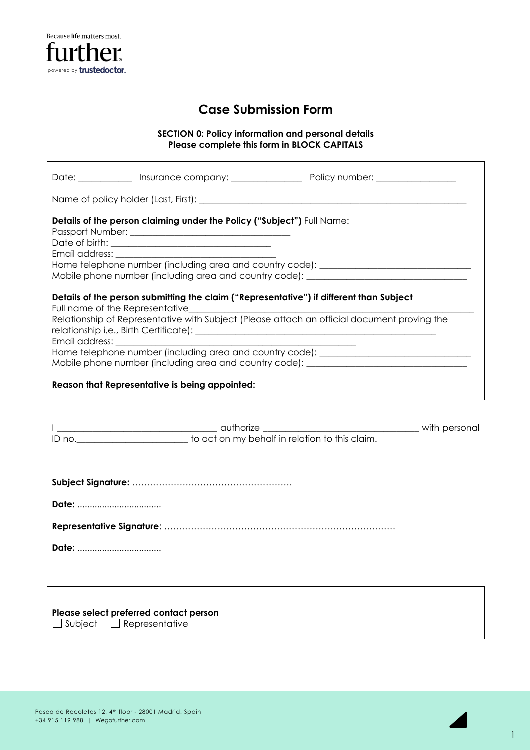

# **Case Submission Form**

**SECTION 0: Policy information and personal details Please complete this form in BLOCK CAPITALS**

|                                                | Details of the person claiming under the Policy ("Subject") Full Name: | Home telephone number (including area and country code): _______________________<br>Mobile phone number (including area and country code): _________________________                                                                                                                                    |  |  |
|------------------------------------------------|------------------------------------------------------------------------|---------------------------------------------------------------------------------------------------------------------------------------------------------------------------------------------------------------------------------------------------------------------------------------------------------|--|--|
|                                                |                                                                        | Details of the person submitting the claim ("Representative") if different than Subject<br>Relationship of Representative with Subject (Please attach an official document proving the<br>relationship i.e., Birth Certificate): [100] [2010] [2010] [2010] [2010] [2010] [2010] [2010] [2010] [2010] [ |  |  |
|                                                |                                                                        | Home telephone number (including area and country code): ________________________<br>Mobile phone number (including area and country code): _________________________                                                                                                                                   |  |  |
| Reason that Representative is being appointed: |                                                                        |                                                                                                                                                                                                                                                                                                         |  |  |
|                                                |                                                                        |                                                                                                                                                                                                                                                                                                         |  |  |
|                                                |                                                                        |                                                                                                                                                                                                                                                                                                         |  |  |
| Date:                                          |                                                                        |                                                                                                                                                                                                                                                                                                         |  |  |
|                                                |                                                                        |                                                                                                                                                                                                                                                                                                         |  |  |
| Date:                                          |                                                                        |                                                                                                                                                                                                                                                                                                         |  |  |
|                                                | Please select preferred contact person                                 |                                                                                                                                                                                                                                                                                                         |  |  |

Subject **Representative** 



1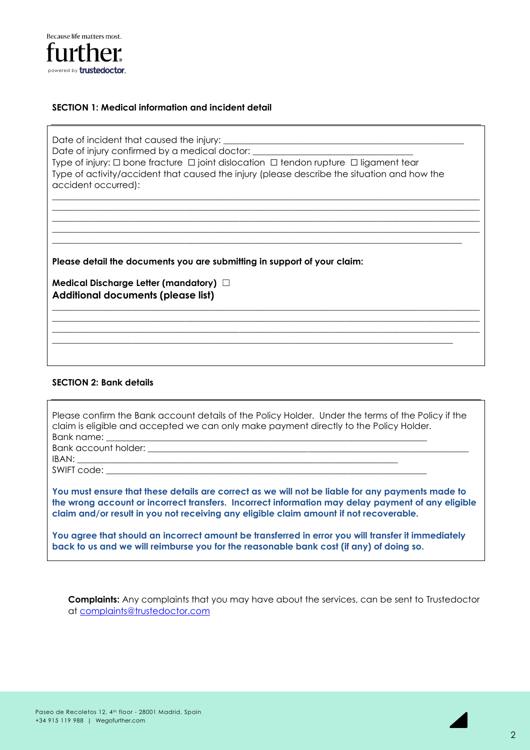

## **SECTION 1: Medical information and incident detail**

Date of incident that caused the injury: Date of injury confirmed by a medical doctor: \_\_\_\_\_\_\_\_\_\_\_\_\_\_\_\_\_\_\_\_\_\_\_\_\_\_\_\_\_\_\_\_\_\_ Type of injury: ☐ bone fracture ☐ joint dislocation ☐ tendon rupture ☐ ligament tear Type of activity/accident that caused the injury (please describe the situation and how the accident occurred):

 $\Box$  $\mathcal{L}_\mathcal{L} = \{ \mathcal{L}_\mathcal{L} = \{ \mathcal{L}_\mathcal{L} = \{ \mathcal{L}_\mathcal{L} = \{ \mathcal{L}_\mathcal{L} = \{ \mathcal{L}_\mathcal{L} = \{ \mathcal{L}_\mathcal{L} = \{ \mathcal{L}_\mathcal{L} = \{ \mathcal{L}_\mathcal{L} = \{ \mathcal{L}_\mathcal{L} = \{ \mathcal{L}_\mathcal{L} = \{ \mathcal{L}_\mathcal{L} = \{ \mathcal{L}_\mathcal{L} = \{ \mathcal{L}_\mathcal{L} = \{ \mathcal{L}_\mathcal{$ \_\_\_\_\_\_\_\_\_\_\_\_\_\_\_\_\_\_\_\_\_\_\_\_\_\_\_\_\_\_\_\_\_\_\_\_\_\_\_\_\_\_\_\_\_\_\_\_\_\_\_\_\_\_\_\_\_\_\_\_\_\_\_\_\_\_\_\_\_\_\_\_\_\_\_\_\_\_\_\_\_\_\_\_\_\_\_\_\_\_\_\_\_\_\_\_  $\Box$  $\overline{\phantom{a}}$  ,  $\overline{\phantom{a}}$  ,  $\overline{\phantom{a}}$  ,  $\overline{\phantom{a}}$  ,  $\overline{\phantom{a}}$  ,  $\overline{\phantom{a}}$  ,  $\overline{\phantom{a}}$  ,  $\overline{\phantom{a}}$  ,  $\overline{\phantom{a}}$  ,  $\overline{\phantom{a}}$  ,  $\overline{\phantom{a}}$  ,  $\overline{\phantom{a}}$  ,  $\overline{\phantom{a}}$  ,  $\overline{\phantom{a}}$  ,  $\overline{\phantom{a}}$  ,  $\overline{\phantom{a}}$ 

 $\Box$  $\mathcal{L}_\mathcal{L} = \{ \mathcal{L}_\mathcal{L} = \{ \mathcal{L}_\mathcal{L} = \{ \mathcal{L}_\mathcal{L} = \{ \mathcal{L}_\mathcal{L} = \{ \mathcal{L}_\mathcal{L} = \{ \mathcal{L}_\mathcal{L} = \{ \mathcal{L}_\mathcal{L} = \{ \mathcal{L}_\mathcal{L} = \{ \mathcal{L}_\mathcal{L} = \{ \mathcal{L}_\mathcal{L} = \{ \mathcal{L}_\mathcal{L} = \{ \mathcal{L}_\mathcal{L} = \{ \mathcal{L}_\mathcal{L} = \{ \mathcal{L}_\mathcal{$ \_\_\_\_\_\_\_\_\_\_\_\_\_\_\_\_\_\_\_\_\_\_\_\_\_\_\_\_\_\_\_\_\_\_\_\_\_\_\_\_\_\_\_\_\_\_\_\_\_\_\_\_\_\_\_\_\_\_\_\_\_\_\_\_\_\_\_\_\_\_\_\_\_\_\_\_\_\_\_\_\_\_\_\_\_\_\_\_\_\_\_\_\_\_\_\_  $\mathcal{L}_\mathcal{L} = \{ \mathcal{L}_\mathcal{L} = \{ \mathcal{L}_\mathcal{L} = \{ \mathcal{L}_\mathcal{L} = \{ \mathcal{L}_\mathcal{L} = \{ \mathcal{L}_\mathcal{L} = \{ \mathcal{L}_\mathcal{L} = \{ \mathcal{L}_\mathcal{L} = \{ \mathcal{L}_\mathcal{L} = \{ \mathcal{L}_\mathcal{L} = \{ \mathcal{L}_\mathcal{L} = \{ \mathcal{L}_\mathcal{L} = \{ \mathcal{L}_\mathcal{L} = \{ \mathcal{L}_\mathcal{L} = \{ \mathcal{L}_\mathcal{$ 

**Please detail the documents you are submitting in support of your claim:**

**Medical Discharge Letter (mandatory)** ☐ **Additional documents (please list)**

#### **SECTION 2: Bank details**

| Please confirm the Bank account details of the Policy Holder. Under the terms of the Policy if the<br>claim is eligible and accepted we can only make payment directly to the Policy Holder.                                                                                                    |
|-------------------------------------------------------------------------------------------------------------------------------------------------------------------------------------------------------------------------------------------------------------------------------------------------|
|                                                                                                                                                                                                                                                                                                 |
|                                                                                                                                                                                                                                                                                                 |
| You must ensure that these details are correct as we will not be liable for any payments made to<br>the wrong account or incorrect transfers. Incorrect information may delay payment of any eligible<br>claim and/or result in you not receiving any eligible claim amount if not recoverable. |

**You agree that should an incorrect amount be transferred in error you will transfer it immediately back to us and we will reimburse you for the reasonable bank cost (if any) of doing so.**

**Complaints:** Any complaints that you may have about the services, can be sent to Trustedoctor at [complaints@trustedoctor.com](mailto:complaints@trustedoctor.com)

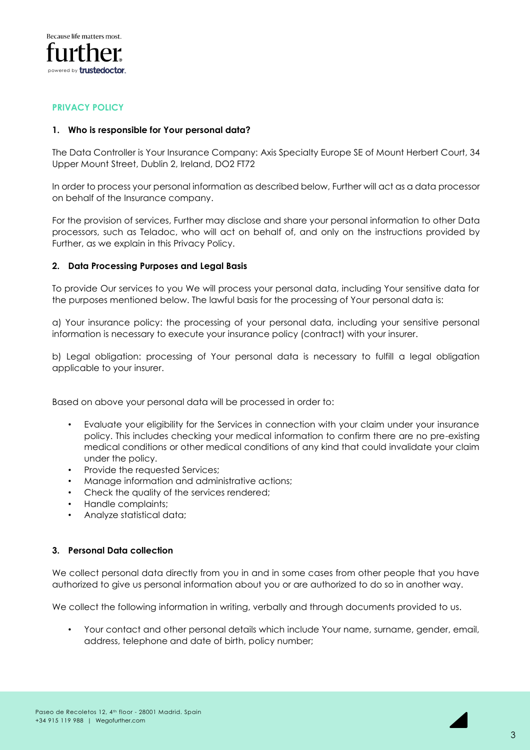

#### **PRIVACY POLICY**

#### **1. Who is responsible for Your personal data?**

The Data Controller is Your Insurance Company: Axis Specialty Europe SE of Mount Herbert Court, 34 Upper Mount Street, Dublin 2, Ireland, DO2 FT72

In order to process your personal information as described below, Further will act as a data processor on behalf of the Insurance company.

For the provision of services, Further may disclose and share your personal information to other Data processors, such as Teladoc, who will act on behalf of, and only on the instructions provided by Further, as we explain in this Privacy Policy.

#### **2. Data Processing Purposes and Legal Basis**

To provide Our services to you We will process your personal data, including Your sensitive data for the purposes mentioned below. The lawful basis for the processing of Your personal data is:

a) Your insurance policy: the processing of your personal data, including your sensitive personal information is necessary to execute your insurance policy (contract) with your insurer.

b) Legal obligation: processing of Your personal data is necessary to fulfill a legal obligation applicable to your insurer.

Based on above your personal data will be processed in order to:

- Evaluate your eligibility for the Services in connection with your claim under your insurance policy. This includes checking your medical information to confirm there are no pre-existing medical conditions or other medical conditions of any kind that could invalidate your claim under the policy.
- Provide the requested Services;
- Manage information and administrative actions;
- Check the quality of the services rendered;
- Handle complaints;
- Analyze statistical data;

#### **3. Personal Data collection**

We collect personal data directly from you in and in some cases from other people that you have authorized to give us personal information about you or are authorized to do so in another way.

We collect the following information in writing, verbally and through documents provided to us.

• Your contact and other personal details which include Your name, surname, gender, email, address, telephone and date of birth, policy number;

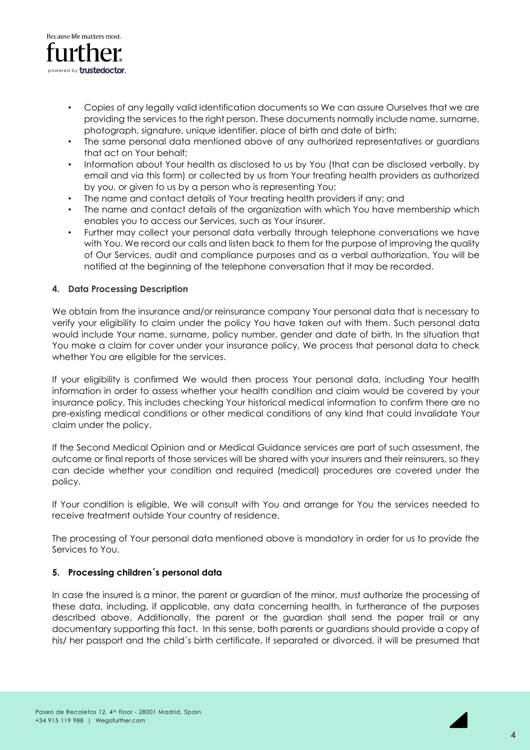

- Copies of any legally valid identification documents so We can assure Ourselves that we are providing the services to the right person. These documents normally include name, surname, photograph, signature, unique identifier, place of birth and date of birth;
- The same personal data mentioned above of any authorized representatives or guardians that act on Your behalf;
- Information about Your health as disclosed to us by You (that can be disclosed verbally, by email and via this form) or collected by us from Your treating health providers as authorized by you, or given to us by a person who is representing You;
- The name and contact details of Your treating health providers if any; and
- The name and contact details of the organization with which You have membership which enables you to access our Services, such as Your insurer.
- Further may collect your personal data verbally through telephone conversations we have with You. We record our calls and listen back to them for the purpose of improving the quality of Our Services, audit and compliance purposes and as a verbal authorization. You will be notified at the beginning of the telephone conversation that it may be recorded.

## **4. Data Processing Description**

We obtain from the insurance and/or reinsurance company Your personal data that is necessary to verify your eligibility to claim under the policy You have taken out with them. Such personal data would include Your name, surname, policy number, gender and date of birth. In the situation that You make a claim for cover under your insurance policy, We process that personal data to check whether You are eligible for the services.

If your eligibility is confirmed We would then process Your personal data, including Your health information in order to assess whether your health condition and claim would be covered by your insurance policy. This includes checking Your historical medical information to confirm there are no pre-existing medical conditions or other medical conditions of any kind that could invalidate Your claim under the policy.

If the Second Medical Opinion and or Medical Guidance services are part of such assessment, the outcome or final reports of those services will be shared with your insurers and their reinsurers, so they can decide whether your condition and required (medical) procedures are covered under the policy.

If Your condition is eligible, We will consult with You and arrange for You the services needed to receive treatment outside Your country of residence.

The processing of Your personal data mentioned above is mandatory in order for us to provide the Services to You.

#### **5. Processing children´s personal data**

In case the insured is a minor, the parent or guardian of the minor, must authorize the processing of these data, including, if applicable, any data concerning health, in furtherance of the purposes described above. Additionally, the parent or the guardian shall send the paper trail or any documentary supporting this fact. In this sense, both parents or guardians should provide a copy of his/ her passport and the child´s birth certificate. If separated or divorced, it will be presumed that

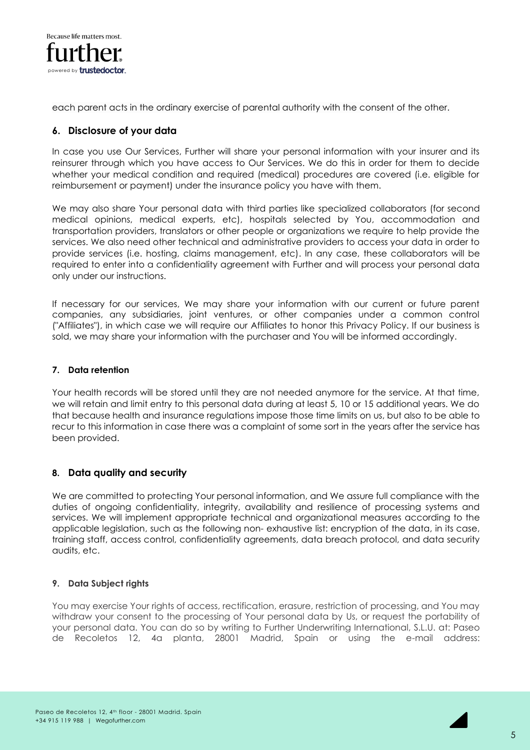

each parent acts in the ordinary exercise of parental authority with the consent of the other.

# **6. Disclosure of your data**

In case you use Our Services, Further will share your personal information with your insurer and its reinsurer through which you have access to Our Services. We do this in order for them to decide whether your medical condition and required (medical) procedures are covered (i.e. eligible for reimbursement or payment) under the insurance policy you have with them.

We may also share Your personal data with third parties like specialized collaborators (for second medical opinions, medical experts, etc), hospitals selected by You, accommodation and transportation providers, translators or other people or organizations we require to help provide the services. We also need other technical and administrative providers to access your data in order to provide services (i.e. hosting, claims management, etc). In any case, these collaborators will be required to enter into a confidentiality agreement with Further and will process your personal data only under our instructions.

If necessary for our services, We may share your information with our current or future parent companies, any subsidiaries, joint ventures, or other companies under a common control ("Affiliates"), in which case we will require our Affiliates to honor this Privacy Policy. If our business is sold, we may share your information with the purchaser and You will be informed accordingly.

#### **7. Data retention**

Your health records will be stored until they are not needed anymore for the service. At that time, we will retain and limit entry to this personal data during at least 5, 10 or 15 additional years. We do that because health and insurance regulations impose those time limits on us, but also to be able to recur to this information in case there was a complaint of some sort in the years after the service has been provided.

# **8. Data quality and security**

We are committed to protecting Your personal information, and We assure full compliance with the duties of ongoing confidentiality, integrity, availability and resilience of processing systems and services. We will implement appropriate technical and organizational measures according to the applicable legislation, such as the following non- exhaustive list: encryption of the data, in its case, training staff, access control, confidentiality agreements, data breach protocol, and data security audits, etc.

# **9. Data Subject rights**

You may exercise Your rights of access, rectification, erasure, restriction of processing, and You may withdraw your consent to the processing of Your personal data by Us, or request the portability of your personal data. You can do so by writing to Further Underwriting International, S.L.U. at: Paseo de Recoletos 12, 4a planta, 28001 Madrid, Spain or using the e-mail address: